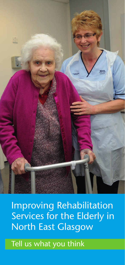

Improving Rehabilitation Services for the Elderly in North East Glasgow

Tell us what you think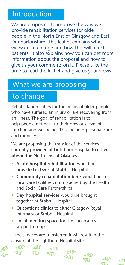#### Introduction

We are proposing to improve the way we provide rehabilitation services for older people in the North East of Glasgow and East Dunbartonshire. This leaflet explains what we want to change and how this will affect patients. It also explains how you can get more information about the proposal and how to give us your comments on it. Please take the time to read the leaflet and give us your views.

#### What we are proposing

# to change

Rehabilitation caters for the needs of older people who have suffered an injury or are recovering from an illness. The goal of rehabilitation is to help people get back to their previous level of function and wellbeing. This includes personal care and mobility.

We are proposing the transfer of the services currently provided at Lightburn Hospital to other sites in the North East of Glasgow:

- **• Acute hospital rehabilitation** would be provided in beds at Stobhill Hospital
- **Community rehabilitation beds** would be in local care facilities commissioned by the Health and Social Care Partnerships
- **Day hospital services** would be brought together at Stobhill Hospital
- **Outpatient clinics** to either Glasgow Royal Infirmary or Stobhill Hospital
- **Local meeting space** for the Parkinson's support group.

If the services are transferred it will result in the closure of the Lightburn Hospital site.



**THILLET CONTENTION** 

**OLUTHUAR WHIHHID** 

**WITHIN** 

**COLORADOR** WWWIID

**COLORADOR OUTSTAND** 

**GALLAR HALL WITHIN** 

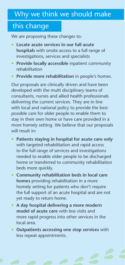# this change

We are proposing these changes to:

- **Locate acute services in our full acute hospitals** with onsite access to a full range of investigations, services and specialists
- **• Provide locally accessible** inpatient community rehabilitation
- **• Provide more rehabilitation** in people's homes.

Our proposals are clinically driven and have been developed with the multi disciplinary teams of consultants, nurses and allied health professionals delivering the current services. They are in line with local and national policy to provide the best possible care for older people to enable them to stay in their own home or have care provided in a more homely setting. We believe that our proposals will result in:

- **• Patients staying in hospital for acute care only**  with targeted rehabilitation and rapid access to the full range of services and investigations needed to enable older people to be discharged home or transferred to community rehabilitation beds more quickly.
- **• Community rehabilitation beds in local care homes** providing rehabilitation in a more homely setting for patients who don't require the full support of an acute hospital and are not yet ready to return home.
- **• A day hospital delivering a more modern model of acute care** with less visits and more rapid progress into other services in the local area.
- **• Outpatients accessing one stop services** with less repeat appointments.















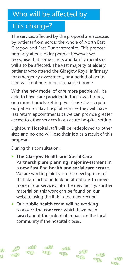## this change?

The services affected by the proposal are accessed by patients from across the whole of North East Glasgow and East Dunbartonshire. This proposal primarily affects older people; however we recognise that some carers and family members will also be affected. The vast majority of elderly patients who attend the Glasgow Royal Infirmary for emergency assessment, or a period of acute care will continue to be discharged home.

With the new model of care more people will be able to have care provided in their own homes, or a more homely setting. For those that require outpatient or day hospital services they will have less return appointments as we can provide greater access to other services in an acute hospital setting.

Lightburn Hospital staff will be redeployed to other sites and no one will lose their job as a result of this proposal.

During this consultation:

- **• The Glasgow Health and Social Care Partnership are planning major investment in a new East End health and social care centre**. We are working jointly on the development of that plan including looking at options to move more of our services into the new facility. Further material on this work can be found on our website using the link in the next section.
- **• Our public health team will be working to assess the concerns** which have been raised about the potential impact on the local community if the hospital closes.



1D



**MANARY CONTENTION** 

**THURSDAY** WWWIID





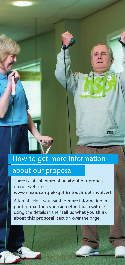## How to get more information

#### about our proposal

There is lots of information about our proposal on our website:

**www.nhsggc.org.uk/get-in-touch-get-involved**

Alternatively if you wanted more information in print format then you can get in touch with us using the details in the '**Tell us what you think about this proposal**' section over the page.